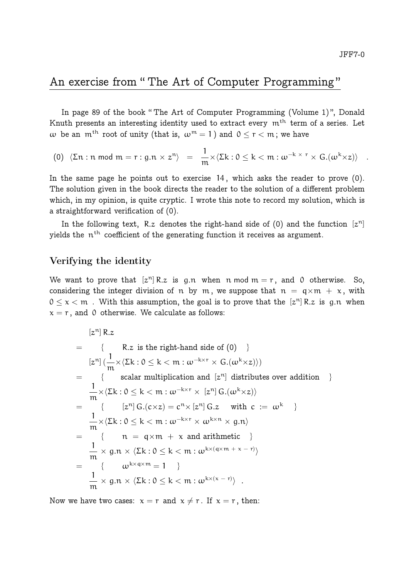## An exercise from " The Art of Computer Programming "

In page 89 of the book " The Art of Computer Programming (Volume 1) ", Donald Knuth presents an interesting identity used to extract every m<sup>th</sup> term of a series. Let w be an  $m^{th}$  root of unity (that is,  $\omega^{m} = 1$ ) and  $0 \le r \le m$ ; we have

$$
(0) \ \ \langle \Sigma \mathfrak{n}: \mathfrak{n} \bmod \mathfrak{m} = \mathfrak{r}: \mathfrak{g}.\mathfrak{n} \times \mathfrak{z}^{\mathfrak{n}} \rangle \ = \ \frac{1}{\mathfrak{m}} \times \langle \Sigma \mathsf{k}: 0 \leq \mathsf{k} < \mathfrak{m}: \omega^{-\mathsf{k} \times \mathfrak{r}} \times \mathrm{G}.(\omega^{\mathsf{k}} \times \mathsf{z}) \rangle \quad .
$$

In the same page he points out to exercise 14 , which asks the reader to prove (0). The solution given in the book directs the reader to the solution of a different problem which, in my opinion, is quite cryptic. I wrote this note to record my solution, which is a straightforward verification of (0).

In the following text, R.z denotes the right-hand side of (0) and the function  $[z^n]$ yields the  $n^{\text{th}}$  coefficient of the generating function it receives as argument.

## Verifying the identity

We want to prove that  $[z^n]$  R.z is g.n when n mod  $m = r$ , and 0 otherwise. So, considering the integer division of n by m, we suppose that  $n = q \times m + x$ , with  $0 \le x < m$  . With this assumption, the goal is to prove that the  $[z^n]$  R.z is g.n when  $x = r$ , and 0 otherwise. We calculate as follows:

$$
[z^n] R.z
$$
\n
$$
= \{ R.z \text{ is the right-hand side of } (0) \}
$$
\n
$$
[z^n] \left( \frac{1}{m} \times \langle \Sigma k : 0 \le k < m : \omega^{-k \times r} \times G.(\omega^k \times z) \rangle \right)
$$
\n
$$
= \{ \text{ scalar multiplication and } [z^n] \text{ distributes over addition } \}
$$
\n
$$
= \frac{1}{m} \times \langle \Sigma k : 0 \le k < m : \omega^{-k \times r} \times [z^n] G.(\omega^k \times z) \rangle
$$
\n
$$
= \{ \{ [z^n] G.(\varepsilon \times z) = c^n \times [z^n] G.z \text{ with } c := \omega^k \}
$$
\n
$$
= \frac{1}{m} \times \langle \Sigma k : 0 \le k < m : \omega^{-k \times r} \times \omega^{k \times n} \times g.n \rangle
$$
\n
$$
= \frac{1}{m} \times g.n \times \langle \Sigma k : 0 \le k < m : \omega^{k \times (q \times m + x - r)} \rangle
$$
\n
$$
= \frac{1}{m} \{ \omega^{k \times q \times m} = 1 \}
$$
\n
$$
= \frac{1}{m} \times g.n \times \langle \Sigma k : 0 \le k < m : \omega^{k \times (x - r)} \rangle
$$

Now we have two cases:  $x = r$  and  $x \neq r$ . If  $x = r$ , then: